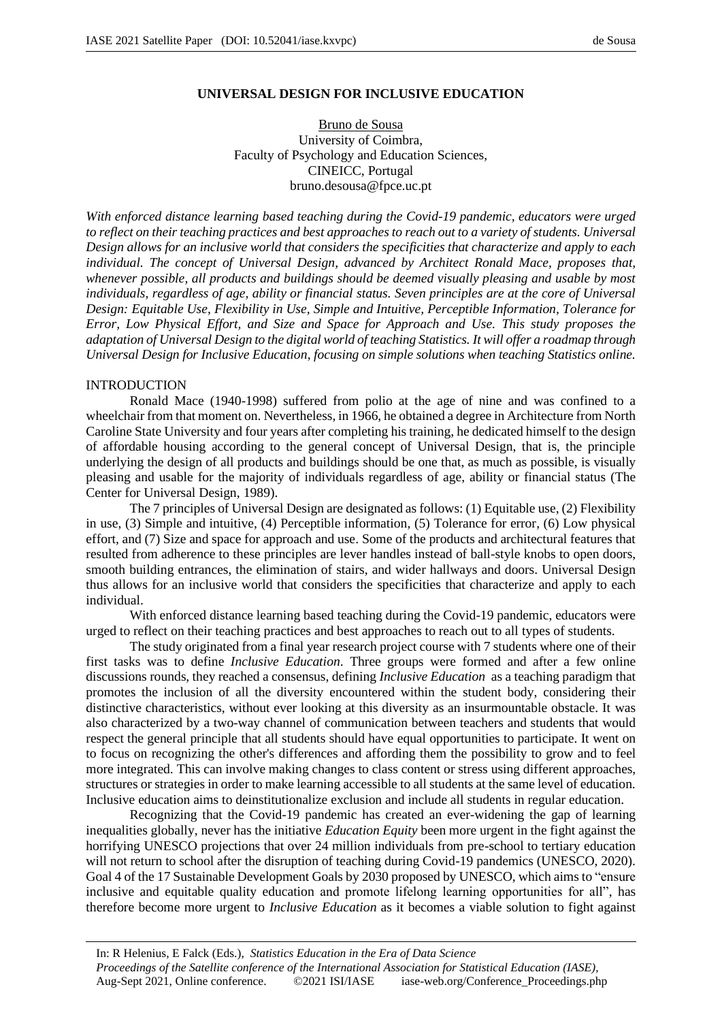## **UNIVERSAL DESIGN FOR INCLUSIVE EDUCATION**

Bruno de Sousa University of Coimbra, Faculty of Psychology and Education Sciences, CINEICC, Portugal bruno.desousa@fpce.uc.pt

*With enforced distance learning based teaching during the Covid-19 pandemic, educators were urged to reflect on their teaching practices and best approaches to reach out to a variety of students. Universal Design allows for an inclusive world that considers the specificities that characterize and apply to each individual. The concept of Universal Design, advanced by Architect Ronald Mace, proposes that, whenever possible, all products and buildings should be deemed visually pleasing and usable by most individuals, regardless of age, ability or financial status. Seven principles are at the core of Universal Design: Equitable Use, Flexibility in Use, Simple and Intuitive, Perceptible Information, Tolerance for Error, Low Physical Effort, and Size and Space for Approach and Use. This study proposes the adaptation of Universal Design to the digital world of teaching Statistics. It will offer a roadmap through Universal Design for Inclusive Education, focusing on simple solutions when teaching Statistics online.*

## INTRODUCTION

Ronald Mace (1940-1998) suffered from polio at the age of nine and was confined to a wheelchair from that moment on. Nevertheless, in 1966, he obtained a degree in Architecture from North Caroline State University and four years after completing his training, he dedicated himself to the design of affordable housing according to the general concept of Universal Design, that is, the principle underlying the design of all products and buildings should be one that, as much as possible, is visually pleasing and usable for the majority of individuals regardless of age, ability or financial status (The Center for Universal Design, 1989).

The 7 principles of Universal Design are designated as follows: (1) Equitable use, (2) Flexibility in use, (3) Simple and intuitive, (4) Perceptible information, (5) Tolerance for error, (6) Low physical effort, and (7) Size and space for approach and use. Some of the products and architectural features that resulted from adherence to these principles are lever handles instead of ball-style knobs to open doors, smooth building entrances, the elimination of stairs, and wider hallways and doors. Universal Design thus allows for an inclusive world that considers the specificities that characterize and apply to each individual.

With enforced distance learning based teaching during the Covid-19 pandemic, educators were urged to reflect on their teaching practices and best approaches to reach out to all types of students.

The study originated from a final year research project course with 7 students where one of their first tasks was to define *Inclusive Education*. Three groups were formed and after a few online discussions rounds, they reached a consensus, defining *Inclusive Education* as a teaching paradigm that promotes the inclusion of all the diversity encountered within the student body, considering their distinctive characteristics, without ever looking at this diversity as an insurmountable obstacle. It was also characterized by a two-way channel of communication between teachers and students that would respect the general principle that all students should have equal opportunities to participate. It went on to focus on recognizing the other's differences and affording them the possibility to grow and to feel more integrated. This can involve making changes to class content or stress using different approaches, structures or strategies in order to make learning accessible to all students at the same level of education. Inclusive education aims to deinstitutionalize exclusion and include all students in regular education.

Recognizing that the Covid-19 pandemic has created an ever-widening the gap of learning inequalities globally, never has the initiative *Education Equity* been more urgent in the fight against the horrifying UNESCO projections that over 24 million individuals from pre-school to tertiary education will not return to school after the disruption of teaching during Covid-19 pandemics (UNESCO, 2020). Goal 4 of the 17 Sustainable Development Goals by 2030 proposed by UNESCO, which aims to "ensure inclusive and equitable quality education and promote lifelong learning opportunities for all", has therefore become more urgent to *Inclusive Education* as it becomes a viable solution to fight against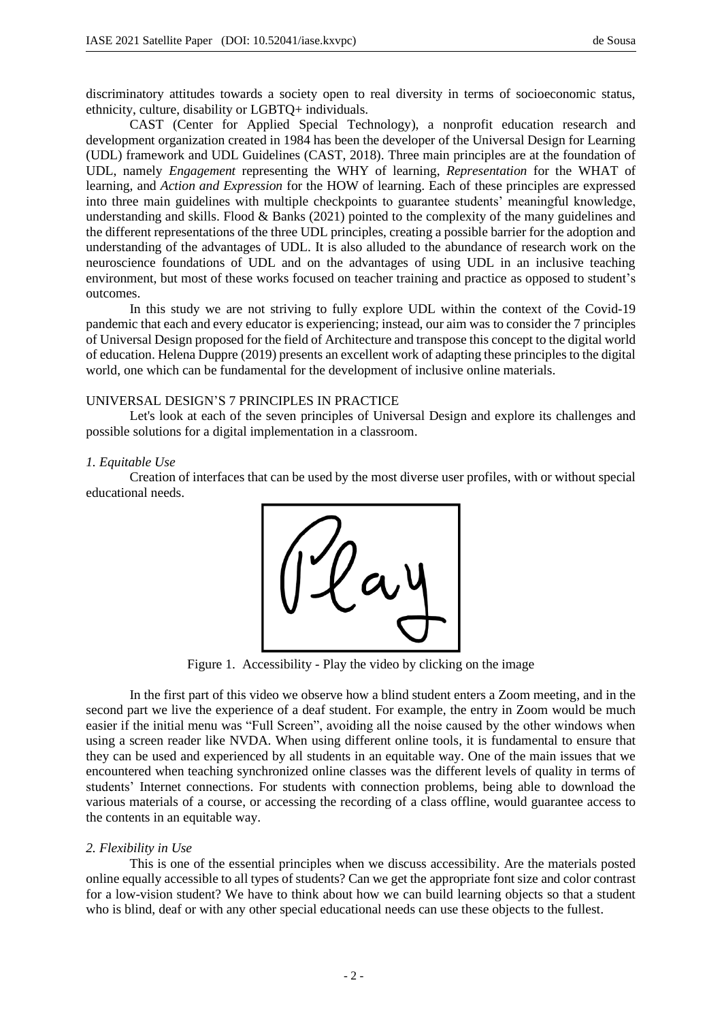discriminatory attitudes towards a society open to real diversity in terms of socioeconomic status, ethnicity, culture, disability or LGBTQ+ individuals.

CAST (Center for Applied Special Technology), a nonprofit education research and development organization created in 1984 has been the developer of the Universal Design for Learning (UDL) framework and UDL Guidelines (CAST, 2018). Three main principles are at the foundation of UDL, namely *Engagement* representing the WHY of learning, *Representation* for the WHAT of learning, and *Action and Expression* for the HOW of learning. Each of these principles are expressed into three main guidelines with multiple checkpoints to guarantee students' meaningful knowledge, understanding and skills. Flood & Banks (2021) pointed to the complexity of the many guidelines and the different representations of the three UDL principles, creating a possible barrier for the adoption and understanding of the advantages of UDL. It is also alluded to the abundance of research work on the neuroscience foundations of UDL and on the advantages of using UDL in an inclusive teaching environment, but most of these works focused on teacher training and practice as opposed to student's outcomes.

In this study we are not striving to fully explore UDL within the context of the Covid-19 pandemic that each and every educator is experiencing; instead, our aim was to consider the 7 principles of Universal Design proposed for the field of Architecture and transpose this concept to the digital world of education. Helena Duppre (2019) presents an excellent work of adapting these principles to the digital world, one which can be fundamental for the development of inclusive online materials.

## UNIVERSAL DESIGN'S 7 PRINCIPLES IN PRACTICE

Let's look at each of the seven principles of Universal Design and explore its challenges and possible solutions for a digital implementation in a classroom.

## *1. Equitable Use*

Creation of interfaces that can be used by the most diverse user profiles, with or without special educational needs.



Figure 1. Accessibility - Play the video by clicking on the image

In the first part of this video we observe how a blind student enters a Zoom meeting, and in the second part we live the experience of a deaf student. For example, the entry in Zoom would be much easier if the initial menu was "Full Screen", avoiding all the noise caused by the other windows when using a screen reader like NVDA. When using different online tools, it is fundamental to ensure that they can be used and experienced by all students in an equitable way. One of the main issues that we encountered when teaching synchronized online classes was the different levels of quality in terms of students' Internet connections. For students with connection problems, being able to download the various materials of a course, or accessing the recording of a class offline, would guarantee access to the contents in an equitable way.

## *2. Flexibility in Use*

This is one of the essential principles when we discuss accessibility. Are the materials posted online equally accessible to all types of students? Can we get the appropriate font size and color contrast for a low-vision student? We have to think about how we can build learning objects so that a student who is blind, deaf or with any other special educational needs can use these objects to the fullest.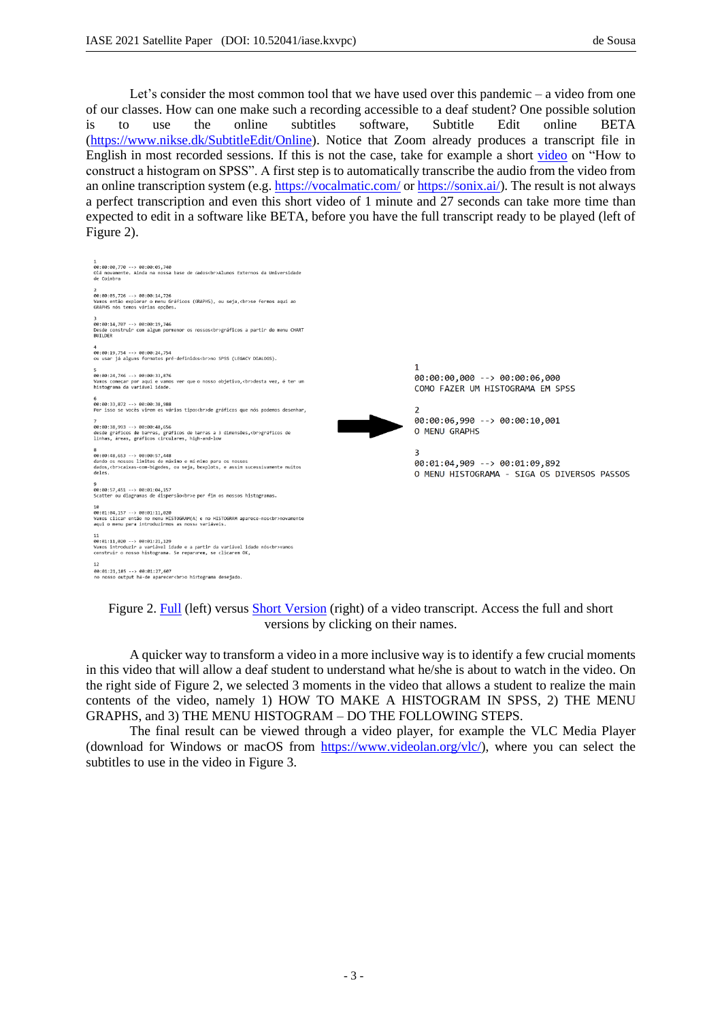Let's consider the most common tool that we have used over this pandemic – a video from one of our classes. How can one make such a recording accessible to a deaf student? One possible solution is to use the online subtitles software, Subtitle Edit online BETA (https://www.nikse.dk/SubtitleEdit/Online). Notice that Zoom already produces a transcript file in English in most recorded sessions. If this is not the case, take for example a short video on "How to construct a histogram on SPSS". A first step is to automatically transcribe the audio from the video from an online transcription system (e.g. https://vocalmatic.com/ or https://sonix.ai/). The result is not always a perfect transcription and even this short video of 1 minute and 27 seconds can take more time than expected to edit in a software like BETA, before you have the full transcript ready to be played (left of Figure 2).



Figure 2. Full (left) versus Short Version (right) of a video transcript. Access the full and short versions by clicking on their names.

A quicker way to transform a video in a more inclusive way is to identify a few crucial moments in this video that will allow a deaf student to understand what he/she is about to watch in the video. On the right side of Figure 2, we selected 3 moments in the video that allows a student to realize the main contents of the video, namely 1) HOW TO MAKE A HISTOGRAM IN SPSS, 2) THE MENU GRAPHS, and 3) THE MENU HISTOGRAM – DO THE FOLLOWING STEPS.

The final result can be viewed through a video player, for example the VLC Media Player (download for Windows or macOS from https://www.videolan.org/vlc/), where you can select the subtitles to use in the video in Figure 3.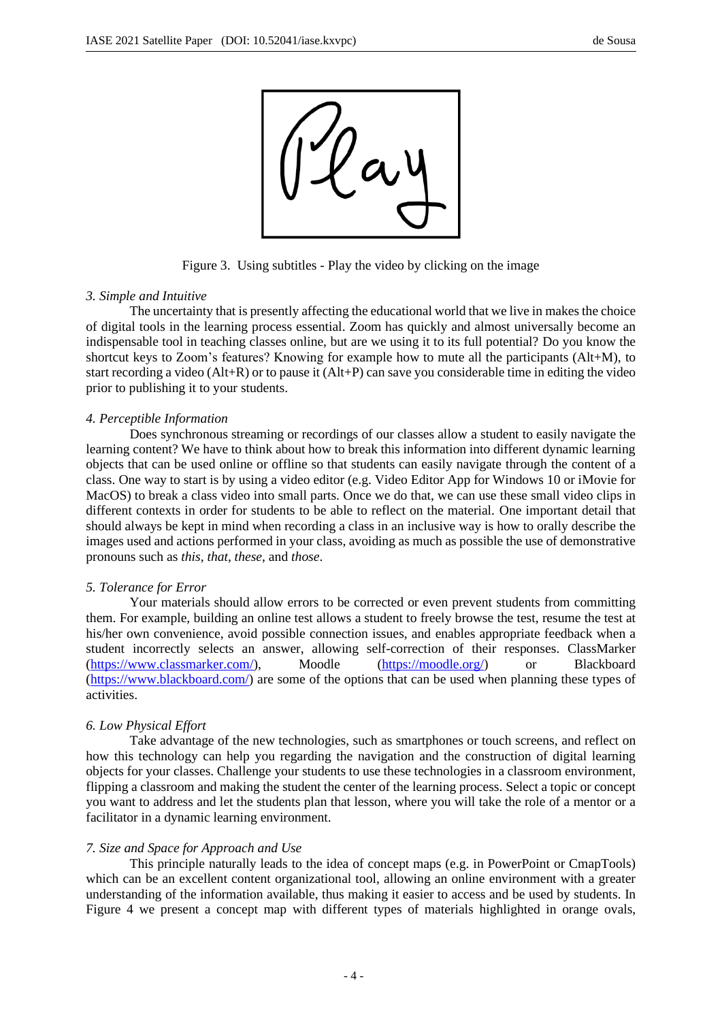

Figure 3. Using subtitles - Play the video by clicking on the image

### *3. Simple and Intuitive*

The uncertainty that is presently affecting the educational world that we live in makes the choice of digital tools in the learning process essential. Zoom has quickly and almost universally become an indispensable tool in teaching classes online, but are we using it to its full potential? Do you know the shortcut keys to Zoom's features? Knowing for example how to mute all the participants (Alt+M), to start recording a video (Alt+R) or to pause it (Alt+P) can save you considerable time in editing the video prior to publishing it to your students.

### *4. Perceptible Information*

Does synchronous streaming or recordings of our classes allow a student to easily navigate the learning content? We have to think about how to break this information into different dynamic learning objects that can be used online or offline so that students can easily navigate through the content of a class. One way to start is by using a video editor (e.g. Video Editor App for Windows 10 or iMovie for MacOS) to break a class video into small parts. Once we do that, we can use these small video clips in different contexts in order for students to be able to reflect on the material. One important detail that should always be kept in mind when recording a class in an inclusive way is how to orally describe the images used and actions performed in your class, avoiding as much as possible the use of demonstrative pronouns such as *this*, *that*, *these*, and *those*.

#### *5. Tolerance for Error*

Your materials should allow errors to be corrected or even prevent students from committing them. For example, building an online test allows a student to freely browse the test, resume the test at his/her own convenience, avoid possible connection issues, and enables appropriate feedback when a student incorrectly selects an answer, allowing self-correction of their responses. ClassMarker (https://www.classmarker.com/), Moodle (https://moodle.org/) or Blackboard (https://www.blackboard.com/) are some of the options that can be used when planning these types of activities.

# *6. Low Physical Effort*

Take advantage of the new technologies, such as smartphones or touch screens, and reflect on how this technology can help you regarding the navigation and the construction of digital learning objects for your classes. Challenge your students to use these technologies in a classroom environment, flipping a classroom and making the student the center of the learning process. Select a topic or concept you want to address and let the students plan that lesson, where you will take the role of a mentor or a facilitator in a dynamic learning environment.

#### *7. Size and Space for Approach and Use*

This principle naturally leads to the idea of concept maps (e.g. in PowerPoint or CmapTools) which can be an excellent content organizational tool, allowing an online environment with a greater understanding of the information available, thus making it easier to access and be used by students. In Figure 4 we present a concept map with different types of materials highlighted in orange ovals,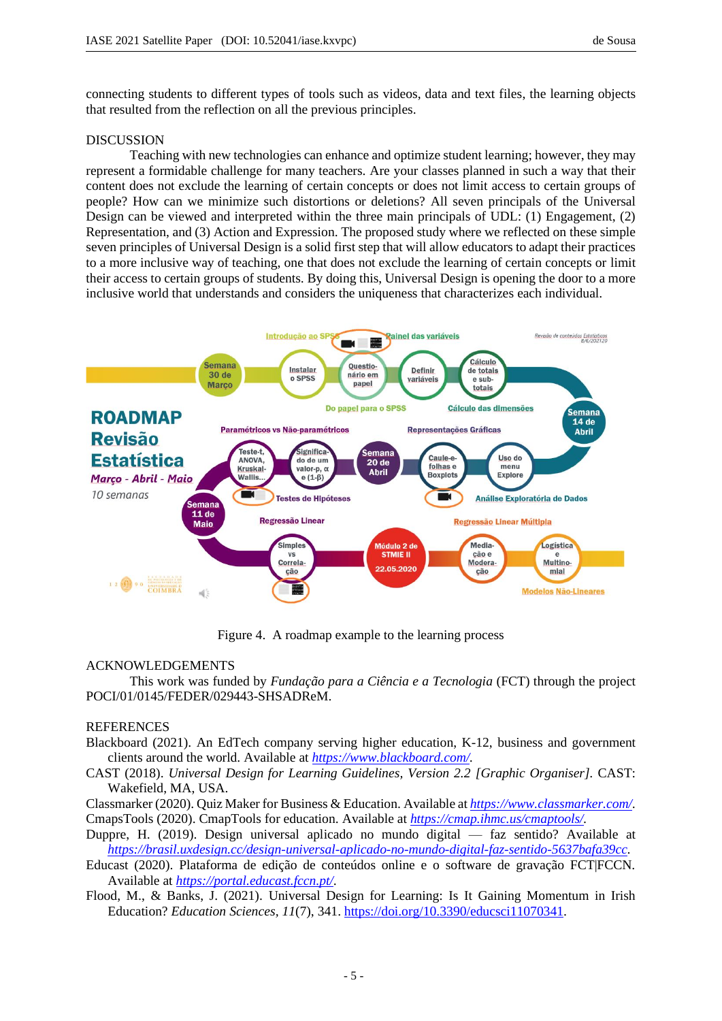connecting students to different types of tools such as videos, data and text files, the learning objects that resulted from the reflection on all the previous principles.

## DISCUSSION

Teaching with new technologies can enhance and optimize student learning; however, they may represent a formidable challenge for many teachers. Are your classes planned in such a way that their content does not exclude the learning of certain concepts or does not limit access to certain groups of people? How can we minimize such distortions or deletions? All seven principals of the Universal Design can be viewed and interpreted within the three main principals of UDL: (1) Engagement, (2) Representation, and (3) Action and Expression. The proposed study where we reflected on these simple seven principles of Universal Design is a solid first step that will allow educators to adapt their practices to a more inclusive way of teaching, one that does not exclude the learning of certain concepts or limit their access to certain groups of students. By doing this, Universal Design is opening the door to a more inclusive world that understands and considers the uniqueness that characterizes each individual.



Figure 4. A roadmap example to the learning process

## ACKNOWLEDGEMENTS

This work was funded by *Fundação para a Ciência e a Tecnologia* (FCT) through the project POCI/01/0145/FEDER/029443-SHSADReM.

# **REFERENCES**

- Blackboard (2021). An EdTech company serving higher education, K-12, business and government clients around the world. Available at *https://www.blackboard.com/.*
- CAST (2018). *Universal Design for Learning Guidelines, Version 2.2 [Graphic Organiser].* CAST: Wakefield, MA, USA.
- Classmarker (2020). Quiz Maker for Business & Education. Available at *https://www.classmarker.com/.* CmapsTools (2020). CmapTools for education. Available at *https://cmap.ihmc.us/cmaptools/.*
- Duppre, H. (2019). Design universal aplicado no mundo digital faz sentido? Available at *https://brasil.uxdesign.cc/design-universal-aplicado-no-mundo-digital-faz-sentido-5637bafa39cc.*
- Educast (2020). Plataforma de edição de conteúdos online e o software de gravação FCT|FCCN. Available at *https://portal.educast.fccn.pt/.*
- Flood, M., & Banks, J. (2021). Universal Design for Learning: Is It Gaining Momentum in Irish Education? *Education Sciences, 11*(7), 341. https://doi.org/10.3390/educsci11070341.